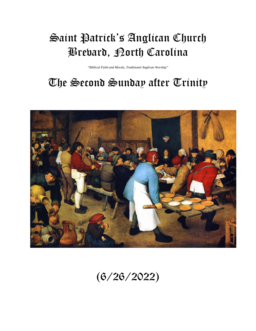# Saint Patrick's Anglican Church Brevard, North Carolina

*"Biblical Faith and Morals, Traditional Anglican Worship"* 

# The Second Sunday after Trinity



(6/26/2022)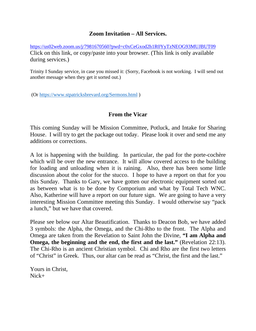# **Zoom Invitation – All Services.**

<https://us02web.zoom.us/j/7981670560?pwd=c0xCeGxod2h1R0YyTzNEOG93MUJBUT09> Click on this link, or copy/paste into your browser. (This link is only available during services.)

Trinity I Sunday service, in case you missed it: (Sorry, Facebook is not working. I will send out another message when they get it sorted out.)

(Or<https://www.stpatricksbrevard.org/Sermons.html>)

#### **From the Vicar**

This coming Sunday will be Mission Committee, Potluck, and Intake for Sharing House. I will try to get the package out today. Please look it over and send me any additions or corrections.

A lot is happening with the building. In particular, the pad for the porte-cochère which will be over the new entrance. It will allow covered access to the building for loading and unloading when it is raining. Also, there has been some little discussion about the color for the stucco. I hope to have a report on that for you this Sunday. Thanks to Gary, we have gotten our electronic equipment sorted out as between what is to be done by Comporium and what by Total Tech WNC. Also, Katherine will have a report on our future sign. We are going to have a very interesting Mission Committee meeting this Sunday. I would otherwise say "pack a lunch," but we have that covered.

Please see below our Altar Beautification. Thanks to Deacon Bob, we have added 3 symbols: the Alpha, the Omega, and the Chi-Rho to the front. The Alpha and Omega are taken from the Revelation to Saint John the Divine, **"I am Alpha and Omega, the beginning and the end, the first and the last."** (Revelation 22:13). The Chi-Rho is an ancient Christian symbol. Chi and Rho are the first two letters of "Christ" in Greek. Thus, our altar can be read as "Christ, the first and the last."

Yours in Christ, Nick+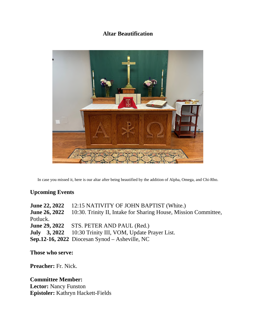# **Altar Beautification**



In case you missed it, here is our altar after being beautified by the addition of Alpha, Omega, and Chi-Rho.

#### **Upcoming Events**

**June 22, 2022** 12:15 NATIVITY OF JOHN BAPTIST (White.) **June 26, 2022** 10:30. Trinity II, Intake for Sharing House, Mission Committee, Potluck. **June 29, 2022** STS. PETER AND PAUL (Red.) **July 3, 2022** 10:30 Trinity III, VOM, Update Prayer List. **Sep.12-16, 2022** Diocesan Synod – Asheville, NC

**Those who serve:** 

**Preacher:** Fr. Nick.

**Committee Member: Lector:** Nancy Funston **Epistoler:** Kathryn Hackett-Fields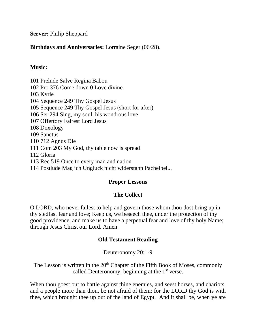**Server:** Philip Sheppard

# **Birthdays and Anniversaries:** Lorraine Seger (06/28).

# **Music:**

101 Prelude Salve Regina Babou 102 Pro 376 Come down 0 Love divine 103 Kyrie 104 Sequence 249 Thy Gospel Jesus 105 Sequence 249 Thy Gospel Jesus (short for after) 106 Ser 294 Sing, my soul, his wondrous love 107 Offertory Fairest Lord Jesus 108 Doxology 109 Sanctus 110 712 Agnus Die 111 Com 203 My God, thy table now is spread 112 Gloria 113 Rec 519 Once to every man and nation 114 Postlude Mag ich Ungluck nicht widerstahn Pachelbel...

# **Proper Lessons**

# **The Collect**

O LORD, who never failest to help and govern those whom thou dost bring up in thy stedfast fear and love; Keep us, we beseech thee, under the protection of thy good providence, and make us to have a perpetual fear and love of thy holy Name; through Jesus Christ our Lord. Amen.

# **Old Testament Reading**

Deuteronomy 20:1-9

The Lesson is written in the  $20<sup>th</sup>$  Chapter of the Fifth Book of Moses, commonly called Deuteronomy, beginning at the  $1<sup>st</sup>$  verse.

When thou goest out to battle against thine enemies, and seest horses, and chariots, and a people more than thou, be not afraid of them: for the LORD thy God is with thee, which brought thee up out of the land of Egypt. And it shall be, when ye are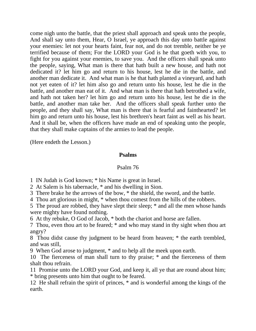come nigh unto the battle, that the priest shall approach and speak unto the people, And shall say unto them, Hear, O Israel, ye approach this day unto battle against your enemies: let not your hearts faint, fear not, and do not tremble, neither be ye terrified because of them; For the LORD your God is he that goeth with you, to fight for you against your enemies, to save you. And the officers shall speak unto the people, saying, What man is there that hath built a new house, and hath not dedicated it? let him go and return to his house, lest he die in the battle, and another man dedicate it. And what man is he that hath planted a vineyard, and hath not yet eaten of it? let him also go and return unto his house, lest he die in the battle, and another man eat of it. And what man is there that hath betrothed a wife, and hath not taken her? let him go and return unto his house, lest he die in the battle, and another man take her. And the officers shall speak further unto the people, and they shall say, What man is there that is fearful and fainthearted? let him go and return unto his house, lest his brethren's heart faint as well as his heart. And it shall be, when the officers have made an end of speaking unto the people, that they shall make captains of the armies to lead the people.

(Here endeth the Lesson.)

# **Psalms**

# Psalm 76

1 IN Judah is God known; \* his Name is great in Israel.

2 At Salem is his tabernacle, \* and his dwelling in Sion.

3 There brake he the arrows of the bow, \* the shield, the sword, and the battle.

4 Thou art glorious in might, \* when thou comest from the hills of the robbers.

5 The proud are robbed, they have slept their sleep; \* and all the men whose hands were mighty have found nothing.

6 At thy rebuke, O God of Jacob, \* both the chariot and horse are fallen.

7 Thou, even thou art to be feared; \* and who may stand in thy sight when thou art angry?

8 Thou didst cause thy judgment to be heard from heaven; \* the earth trembled, and was still,

9 When God arose to judgment, \* and to help all the meek upon earth.

10 The fierceness of man shall turn to thy praise; \* and the fierceness of them shalt thou refrain.

11 Promise unto the LORD your God, and keep it, all ye that are round about him; \* bring presents unto him that ought to be feared.

12 He shall refrain the spirit of princes, \* and is wonderful among the kings of the earth.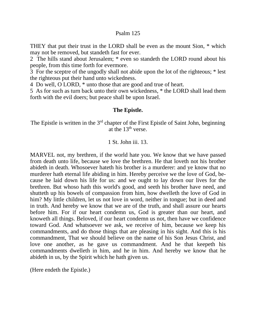#### Psalm 125

THEY that put their trust in the LORD shall be even as the mount Sion, \* which may not be removed, but standeth fast for ever.

2 The hills stand about Jerusalem; \* even so standeth the LORD round about his people, from this time forth for evermore.

3 For the sceptre of the ungodly shall not abide upon the lot of the righteous; \* lest the righteous put their hand unto wickedness.

4 Do well, O LORD, \* unto those that are good and true of heart.

5 As for such as turn back unto their own wickedness, \* the LORD shall lead them forth with the evil doers; but peace shall be upon Israel.

#### **The Epistle.**

The Epistle is written in the 3<sup>rd</sup> chapter of the First Epistle of Saint John, beginning at the  $13<sup>th</sup>$  verse.

#### 1 St. John iii. 13.

MARVEL not, my brethren, if the world hate you. We know that we have passed from death unto life, because we love the brethren. He that loveth not his brother abideth in death. Whosoever hateth his brother is a murderer: and ye know that no murderer hath eternal life abiding in him. Hereby perceive we the love of God, because he laid down his life for us: and we ought to lay down our lives for the brethren. But whoso hath this world's good, and seeth his brother have need, and shutteth up his bowels of compassion from him, how dwelleth the love of God in him? My little children, let us not love in word, neither in tongue; but in deed and in truth. And hereby we know that we are of the truth, and shall assure our hearts before him. For if our heart condemn us, God is greater than our heart, and knoweth all things. Beloved, if our heart condemn us not, then have we confidence toward God. And whatsoever we ask, we receive of him, because we keep his commandments, and do those things that are pleasing in his sight. And this is his commandment, That we should believe on the name of his Son Jesus Christ, and love one another, as he gave us commandment. And he that keepeth his commandments dwelleth in him, and he in him. And hereby we know that he abideth in us, by the Spirit which he hath given us.

(Here endeth the Epistle.)